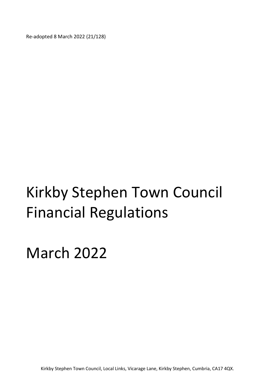Re-adopted 8 March 2022 (21/128)

# Kirkby Stephen Town Council Financial Regulations

March 2022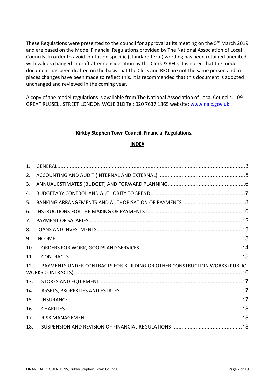These Regulations were presented to the council for approval at its meeting on the 5<sup>th</sup> March 2019 and are based on the Model Financial Regulations provided by The National Association of Local Councils. In order to avoid confusion specific (standard term) wording has been retained unedited with values changed in draft after consideration by the Clerk & RFO. It is noted that the model document has been drafted on the basis that the Clerk and RFO are not the same person and in places changes have been made to reflect this. It is recommended that this document is adopted unchanged and reviewed in the coming year.

A copy of the model regulations is available from The National Association of Local Councils. 109 GREAT RUSSELL STREET LONDON WC1B 3LD Tel: 020 7637 1865 website: www.nalc.gov.uk

#### Kirkby Stephen Town Council, Financial Regulations.

#### INDEX

| $\mathbf{1}$ . |                                                                           |
|----------------|---------------------------------------------------------------------------|
| 2.             |                                                                           |
| 3.             |                                                                           |
| 4.             |                                                                           |
| 5.             |                                                                           |
| 6.             |                                                                           |
| 7.             |                                                                           |
| 8.             |                                                                           |
| 9.             |                                                                           |
| 10.            |                                                                           |
| 11.            |                                                                           |
| 12.            | PAYMENTS UNDER CONTRACTS FOR BUILDING OR OTHER CONSTRUCTION WORKS (PUBLIC |
| 13.            |                                                                           |
| 14.            |                                                                           |
| 15.            |                                                                           |
| 16.            |                                                                           |
| 17.            |                                                                           |
| 18.            |                                                                           |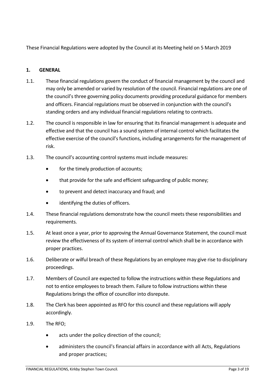These Financial Regulations were adopted by the Council at its Meeting held on 5 March 2019

## 1. GENERAL

- 1.1. These financial regulations govern the conduct of financial management by the council and may only be amended or varied by resolution of the council. Financial regulations are one of the council's three governing policy documents providing procedural guidance for members and officers. Financial regulations must be observed in conjunction with the council's standing orders and any individual financial regulations relating to contracts.
- 1.2. The council is responsible in law for ensuring that its financial management is adequate and effective and that the council has a sound system of internal control which facilitates the effective exercise of the council's functions, including arrangements for the management of risk.
- 1.3. The council's accounting control systems must include measures:
	- for the timely production of accounts;
	- that provide for the safe and efficient safeguarding of public money;
	- to prevent and detect inaccuracy and fraud; and
	- identifying the duties of officers.
- 1.4. These financial regulations demonstrate how the council meets these responsibilities and requirements.
- 1.5. At least once a year, prior to approving the Annual Governance Statement, the council must review the effectiveness of its system of internal control which shall be in accordance with proper practices.
- 1.6. Deliberate or wilful breach of these Regulations by an employee may give rise to disciplinary proceedings.
- 1.7. Members of Council are expected to follow the instructions within these Regulations and not to entice employees to breach them. Failure to follow instructions within these Regulations brings the office of councillor into disrepute.
- 1.8. The Clerk has been appointed as RFO for this council and these regulations will apply accordingly.
- 1.9. The RFO;
	- acts under the policy direction of the council;
	- administers the council's financial affairs in accordance with all Acts, Regulations and proper practices;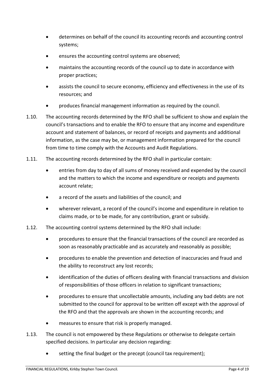- determines on behalf of the council its accounting records and accounting control systems;
- ensures the accounting control systems are observed;
- maintains the accounting records of the council up to date in accordance with proper practices;
- assists the council to secure economy, efficiency and effectiveness in the use of its resources; and
- produces financial management information as required by the council.
- 1.10. The accounting records determined by the RFO shall be sufficient to show and explain the council's transactions and to enable the RFO to ensure that any income and expenditure account and statement of balances, or record of receipts and payments and additional information, as the case may be, or management information prepared for the council from time to time comply with the Accounts and Audit Regulations.
- 1.11. The accounting records determined by the RFO shall in particular contain:
	- entries from day to day of all sums of money received and expended by the council and the matters to which the income and expenditure or receipts and payments account relate;
	- a record of the assets and liabilities of the council; and
	- wherever relevant, a record of the council's income and expenditure in relation to claims made, or to be made, for any contribution, grant or subsidy.
- 1.12. The accounting control systems determined by the RFO shall include:
	- procedures to ensure that the financial transactions of the council are recorded as soon as reasonably practicable and as accurately and reasonably as possible;
	- procedures to enable the prevention and detection of inaccuracies and fraud and the ability to reconstruct any lost records;
	- identification of the duties of officers dealing with financial transactions and division of responsibilities of those officers in relation to significant transactions;
	- procedures to ensure that uncollectable amounts, including any bad debts are not submitted to the council for approval to be written off except with the approval of the RFO and that the approvals are shown in the accounting records; and
	- measures to ensure that risk is properly managed.
- 1.13. The council is not empowered by these Regulations or otherwise to delegate certain specified decisions. In particular any decision regarding:
	- setting the final budget or the precept (council tax requirement);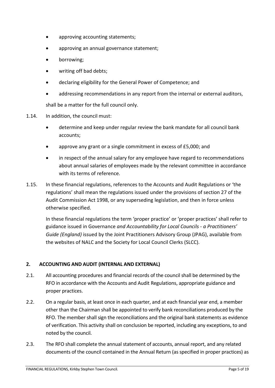- approving accounting statements;
- approving an annual governance statement;
- borrowing;
- writing off bad debts;
- declaring eligibility for the General Power of Competence; and
- addressing recommendations in any report from the internal or external auditors,

shall be a matter for the full council only.

- 1.14. In addition, the council must:
	- determine and keep under regular review the bank mandate for all council bank accounts;
	- approve any grant or a single commitment in excess of £5,000; and
	- in respect of the annual salary for any employee have regard to recommendations about annual salaries of employees made by the relevant committee in accordance with its terms of reference.
- 1.15. In these financial regulations, references to the Accounts and Audit Regulations or 'the regulations' shall mean the regulations issued under the provisions of section 27 of the Audit Commission Act 1998, or any superseding legislation, and then in force unless otherwise specified.

In these financial regulations the term 'proper practice' or 'proper practices' shall refer to guidance issued in Governance and Accountability for Local Councils - a Practitioners' Guide (England) issued by the Joint Practitioners Advisory Group (JPAG), available from the websites of NALC and the Society for Local Council Clerks (SLCC).

#### 2. ACCOUNTING AND AUDIT (INTERNAL AND EXTERNAL)

- 2.1. All accounting procedures and financial records of the council shall be determined by the RFO in accordance with the Accounts and Audit Regulations, appropriate guidance and proper practices.
- 2.2. On a regular basis, at least once in each quarter, and at each financial year end, a member other than the Chairman shall be appointed to verify bank reconciliations produced by the RFO. The member shall sign the reconciliations and the original bank statements as evidence of verification. This activity shall on conclusion be reported, including any exceptions, to and noted by the council.
- 2.3. The RFO shall complete the annual statement of accounts, annual report, and any related documents of the council contained in the Annual Return (as specified in proper practices) as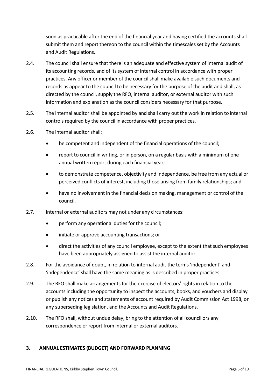soon as practicable after the end of the financial year and having certified the accounts shall submit them and report thereon to the council within the timescales set by the Accounts and Audit Regulations.

- 2.4. The council shall ensure that there is an adequate and effective system of internal audit of its accounting records, and of its system of internal control in accordance with proper practices. Any officer or member of the council shall make available such documents and records as appear to the council to be necessary for the purpose of the audit and shall, as directed by the council, supply the RFO, internal auditor, or external auditor with such information and explanation as the council considers necessary for that purpose.
- 2.5. The internal auditor shall be appointed by and shall carry out the work in relation to internal controls required by the council in accordance with proper practices.
- 2.6. The internal auditor shall:
	- be competent and independent of the financial operations of the council;
	- report to council in writing, or in person, on a regular basis with a minimum of one annual written report during each financial year;
	- to demonstrate competence, objectivity and independence, be free from any actual or perceived conflicts of interest, including those arising from family relationships; and
	- have no involvement in the financial decision making, management or control of the council.
- 2.7. Internal or external auditors may not under any circumstances:
	- perform any operational duties for the council;
	- initiate or approve accounting transactions; or
	- direct the activities of any council employee, except to the extent that such employees have been appropriately assigned to assist the internal auditor.
- 2.8. For the avoidance of doubt, in relation to internal audit the terms 'independent' and 'independence' shall have the same meaning as is described in proper practices.
- 2.9. The RFO shall make arrangements for the exercise of electors' rights in relation to the accounts including the opportunity to inspect the accounts, books, and vouchers and display or publish any notices and statements of account required by Audit Commission Act 1998, or any superseding legislation, and the Accounts and Audit Regulations.
- 2.10. The RFO shall, without undue delay, bring to the attention of all councillors any correspondence or report from internal or external auditors.

#### 3. ANNUAL ESTIMATES (BUDGET) AND FORWARD PLANNING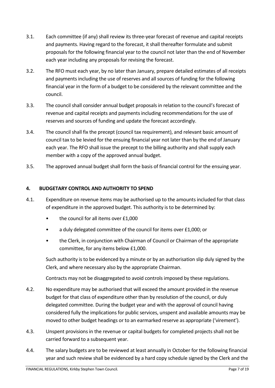- 3.1. Each committee (if any) shall review its three-year forecast of revenue and capital receipts and payments. Having regard to the forecast, it shall thereafter formulate and submit proposals for the following financial year to the council not later than the end of November each year including any proposals for revising the forecast.
- 3.2. The RFO must each year, by no later than January, prepare detailed estimates of all receipts and payments including the use of reserves and all sources of funding for the following financial year in the form of a budget to be considered by the relevant committee and the council.
- 3.3. The council shall consider annual budget proposals in relation to the council's forecast of revenue and capital receipts and payments including recommendations for the use of reserves and sources of funding and update the forecast accordingly.
- 3.4. The council shall fix the precept (council tax requirement), and relevant basic amount of council tax to be levied for the ensuing financial year not later than by the end of January each year. The RFO shall issue the precept to the billing authority and shall supply each member with a copy of the approved annual budget.
- 3.5. The approved annual budget shall form the basis of financial control for the ensuing year.

#### 4. BUDGETARY CONTROL AND AUTHORITY TO SPEND

- 4.1. Expenditure on revenue items may be authorised up to the amounts included for that class of expenditure in the approved budget. This authority is to be determined by:
	- the council for all items over £1,000
	- a duly delegated committee of the council for items over £1,000; or
	- the Clerk, in conjunction with Chairman of Council or Chairman of the appropriate committee, for any items below £1,000.

Such authority is to be evidenced by a minute or by an authorisation slip duly signed by the Clerk, and where necessary also by the appropriate Chairman.

Contracts may not be disaggregated to avoid controls imposed by these regulations.

- 4.2. No expenditure may be authorised that will exceed the amount provided in the revenue budget for that class of expenditure other than by resolution of the council, or duly delegated committee. During the budget year and with the approval of council having considered fully the implications for public services, unspent and available amounts may be moved to other budget headings or to an earmarked reserve as appropriate ('virement').
- 4.3. Unspent provisions in the revenue or capital budgets for completed projects shall not be carried forward to a subsequent year.
- 4.4. The salary budgets are to be reviewed at least annually in October for the following financial year and such review shall be evidenced by a hard copy schedule signed by the Clerk and the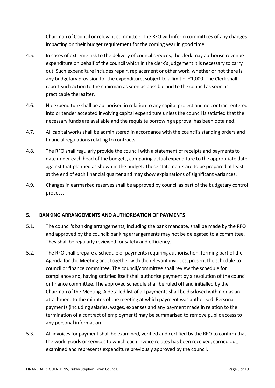Chairman of Council or relevant committee. The RFO will inform committees of any changes impacting on their budget requirement for the coming year in good time.

- 4.5. In cases of extreme risk to the delivery of council services, the clerk may authorise revenue expenditure on behalf of the council which in the clerk's judgement it is necessary to carry out. Such expenditure includes repair, replacement or other work, whether or not there is any budgetary provision for the expenditure, subject to a limit of £1,000. The Clerk shall report such action to the chairman as soon as possible and to the council as soon as practicable thereafter.
- 4.6. No expenditure shall be authorised in relation to any capital project and no contract entered into or tender accepted involving capital expenditure unless the council is satisfied that the necessary funds are available and the requisite borrowing approval has been obtained.
- 4.7. All capital works shall be administered in accordance with the council's standing orders and financial regulations relating to contracts.
- 4.8. The RFO shall regularly provide the council with a statement of receipts and payments to date under each head of the budgets, comparing actual expenditure to the appropriate date against that planned as shown in the budget. These statements are to be prepared at least at the end of each financial quarter and may show explanations of significant variances.
- 4.9. Changes in earmarked reserves shall be approved by council as part of the budgetary control process.

#### 5. BANKING ARRANGEMENTS AND AUTHORISATION OF PAYMENTS

- 5.1. The council's banking arrangements, including the bank mandate, shall be made by the RFO and approved by the council; banking arrangements may not be delegated to a committee. They shall be regularly reviewed for safety and efficiency.
- 5.2. The RFO shall prepare a schedule of payments requiring authorisation, forming part of the Agenda for the Meeting and, together with the relevant invoices, present the schedule to council or finance committee. The council/committee shall review the schedule for compliance and, having satisfied itself shall authorise payment by a resolution of the council or finance committee. The approved schedule shall be ruled off and initialled by the Chairman of the Meeting. A detailed list of all payments shall be disclosed within or as an attachment to the minutes of the meeting at which payment was authorised. Personal payments (including salaries, wages, expenses and any payment made in relation to the termination of a contract of employment) may be summarised to remove public access to any personal information.
- 5.3. All invoices for payment shall be examined, verified and certified by the RFO to confirm that the work, goods or services to which each invoice relates has been received, carried out, examined and represents expenditure previously approved by the council.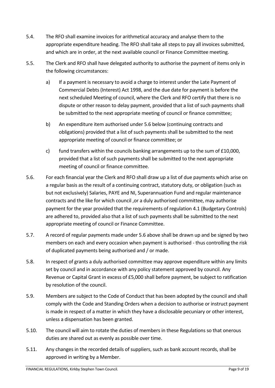- 5.4. The RFO shall examine invoices for arithmetical accuracy and analyse them to the appropriate expenditure heading. The RFO shall take all steps to pay all invoices submitted, and which are in order, at the next available council or Finance Committee meeting.
- 5.5. The Clerk and RFO shall have delegated authority to authorise the payment of items only in the following circumstances:
	- a) If a payment is necessary to avoid a charge to interest under the Late Payment of Commercial Debts (Interest) Act 1998, and the due date for payment is before the next scheduled Meeting of council, where the Clerk and RFO certify that there is no dispute or other reason to delay payment, provided that a list of such payments shall be submitted to the next appropriate meeting of council or finance committee;
	- b) An expenditure item authorised under 5.6 below (continuing contracts and obligations) provided that a list of such payments shall be submitted to the next appropriate meeting of council or finance committee; or
	- c) fund transfers within the councils banking arrangements up to the sum of  $£10,000$ , provided that a list of such payments shall be submitted to the next appropriate meeting of council or finance committee.
- 5.6. For each financial year the Clerk and RFO shall draw up a list of due payments which arise on a regular basis as the result of a continuing contract, statutory duty, or obligation (such as but not exclusively) Salaries, PAYE and NI, Superannuation Fund and regular maintenance contracts and the like for which council ,or a duly authorised committee, may authorise payment for the year provided that the requirements of regulation 4.1 (Budgetary Controls) are adhered to, provided also that a list of such payments shall be submitted to the next appropriate meeting of council or Finance Committee.
- 5.7. A record of regular payments made under 5.6 above shall be drawn up and be signed by two members on each and every occasion when payment is authorised - thus controlling the risk of duplicated payments being authorised and / or made.
- 5.8. In respect of grants a duly authorised committee may approve expenditure within any limits set by council and in accordance with any policy statement approved by council. Any Revenue or Capital Grant in excess of £5,000 shall before payment, be subject to ratification by resolution of the council.
- 5.9. Members are subject to the Code of Conduct that has been adopted by the council and shall comply with the Code and Standing Orders when a decision to authorise or instruct payment is made in respect of a matter in which they have a disclosable pecuniary or other interest, unless a dispensation has been granted.
- 5.10. The council will aim to rotate the duties of members in these Regulations so that onerous duties are shared out as evenly as possible over time.
- 5.11. Any changes in the recorded details of suppliers, such as bank account records, shall be approved in writing by a Member.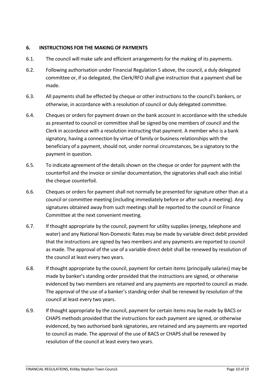#### 6. INSTRUCTIONS FOR THE MAKING OF PAYMENTS

- 6.1. The council will make safe and efficient arrangements for the making of its payments.
- 6.2. Following authorisation under Financial Regulation 5 above, the council, a duly delegated committee or, if so delegated, the Clerk/RFO shall give instruction that a payment shall be made.
- 6.3. All payments shall be effected by cheque or other instructions to the council's bankers, or otherwise, in accordance with a resolution of council or duly delegated committee.
- 6.4. Cheques or orders for payment drawn on the bank account in accordance with the schedule as presented to council or committee shall be signed by one members of council and the Clerk in accordance with a resolution instructing that payment. A member who is a bank signatory, having a connection by virtue of family or business relationships with the beneficiary of a payment, should not, under normal circumstances, be a signatory to the payment in question.
- 6.5. To indicate agreement of the details shown on the cheque or order for payment with the counterfoil and the invoice or similar documentation, the signatories shall each also initial the cheque counterfoil.
- 6.6. Cheques or orders for payment shall not normally be presented for signature other than at a council or committee meeting (including immediately before or after such a meeting). Any signatures obtained away from such meetings shall be reported to the council or Finance Committee at the next convenient meeting.
- 6.7. If thought appropriate by the council, payment for utility supplies (energy, telephone and water) and any National Non-Domestic Rates may be made by variable direct debit provided that the instructions are signed by two members and any payments are reported to council as made. The approval of the use of a variable direct debit shall be renewed by resolution of the council at least every two years.
- 6.8. If thought appropriate by the council, payment for certain items (principally salaries) may be made by banker's standing order provided that the instructions are signed, or otherwise evidenced by two members are retained and any payments are reported to council as made. The approval of the use of a banker's standing order shall be renewed by resolution of the council at least every two years.
- 6.9. If thought appropriate by the council, payment for certain items may be made by BACS or CHAPS methods provided that the instructions for each payment are signed, or otherwise evidenced, by two authorised bank signatories, are retained and any payments are reported to council as made. The approval of the use of BACS or CHAPS shall be renewed by resolution of the council at least every two years.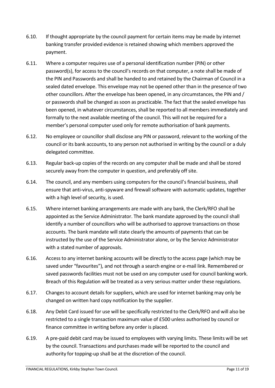- 6.10. If thought appropriate by the council payment for certain items may be made by internet banking transfer provided evidence is retained showing which members approved the payment.
- 6.11. Where a computer requires use of a personal identification number (PIN) or other password(s), for access to the council's records on that computer, a note shall be made of the PIN and Passwords and shall be handed to and retained by the Chairman of Council in a sealed dated envelope. This envelope may not be opened other than in the presence of two other councillors. After the envelope has been opened, in any circumstances, the PIN and / or passwords shall be changed as soon as practicable. The fact that the sealed envelope has been opened, in whatever circumstances, shall be reported to all members immediately and formally to the next available meeting of the council. This will not be required for a member's personal computer used only for remote authorisation of bank payments.
- 6.12. No employee or councillor shall disclose any PIN or password, relevant to the working of the council or its bank accounts, to any person not authorised in writing by the council or a duly delegated committee.
- 6.13. Regular back-up copies of the records on any computer shall be made and shall be stored securely away from the computer in question, and preferably off site.
- 6.14. The council, and any members using computers for the council's financial business, shall ensure that anti-virus, anti-spyware and firewall software with automatic updates, together with a high level of security, is used.
- 6.15. Where internet banking arrangements are made with any bank, the Clerk/RFO shall be appointed as the Service Administrator. The bank mandate approved by the council shall identify a number of councillors who will be authorised to approve transactions on those accounts. The bank mandate will state clearly the amounts of payments that can be instructed by the use of the Service Administrator alone, or by the Service Administrator with a stated number of approvals.
- 6.16. Access to any internet banking accounts will be directly to the access page (which may be saved under "favourites"), and not through a search engine or e-mail link. Remembered or saved passwords facilities must not be used on any computer used for council banking work. Breach of this Regulation will be treated as a very serious matter under these regulations.
- 6.17. Changes to account details for suppliers, which are used for internet banking may only be changed on written hard copy notification by the supplier.
- 6.18. Any Debit Card issued for use will be specifically restricted to the Clerk/RFO and will also be restricted to a single transaction maximum value of £500 unless authorised by council or finance committee in writing before any order is placed.
- 6.19. A pre-paid debit card may be issued to employees with varying limits. These limits will be set by the council. Transactions and purchases made will be reported to the council and authority for topping-up shall be at the discretion of the council.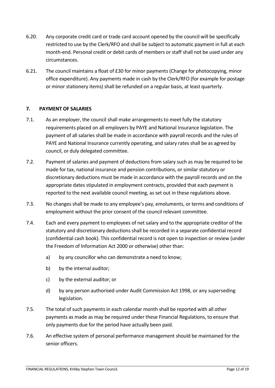- 6.20. Any corporate credit card or trade card account opened by the council will be specifically restricted to use by the Clerk/RFO and shall be subject to automatic payment in full at each month-end. Personal credit or debit cards of members or staff shall not be used under any circumstances.
- 6.21. The council maintains a float of £30 for minor payments (Change for photocopying, minor office expenditure). Any payments made in cash by the Clerk/RFO (for example for postage or minor stationery items) shall be refunded on a regular basis, at least quarterly.

#### 7. PAYMENT OF SALARIES

- 7.1. As an employer, the council shall make arrangements to meet fully the statutory requirements placed on all employers by PAYE and National Insurance legislation. The payment of all salaries shall be made in accordance with payroll records and the rules of PAYE and National Insurance currently operating, and salary rates shall be as agreed by council, or duly delegated committee.
- 7.2. Payment of salaries and payment of deductions from salary such as may be required to be made for tax, national insurance and pension contributions, or similar statutory or discretionary deductions must be made in accordance with the payroll records and on the appropriate dates stipulated in employment contracts, provided that each payment is reported to the next available council meeting, as set out in these regulations above.
- 7.3. No changes shall be made to any employee's pay, emoluments, or terms and conditions of employment without the prior consent of the council relevant committee.
- 7.4. Each and every payment to employees of net salary and to the appropriate creditor of the statutory and discretionary deductions shall be recorded in a separate confidential record (confidential cash book). This confidential record is not open to inspection or review (under the Freedom of Information Act 2000 or otherwise) other than:
	- a) by any councillor who can demonstrate a need to know;
	- b) by the internal auditor;
	- c) by the external auditor; or
	- d) by any person authorised under Audit Commission Act 1998, or any superseding legislation.
- 7.5. The total of such payments in each calendar month shall be reported with all other payments as made as may be required under these Financial Regulations, to ensure that only payments due for the period have actually been paid.
- 7.6. An effective system of personal performance management should be maintained for the senior officers.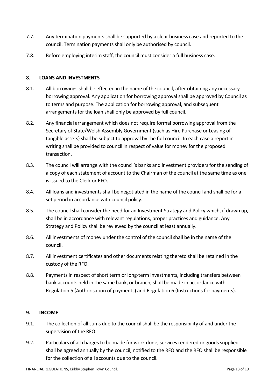- 7.7. Any termination payments shall be supported by a clear business case and reported to the council. Termination payments shall only be authorised by council.
- 7.8. Before employing interim staff, the council must consider a full business case.

## 8. LOANS AND INVESTMENTS

- 8.1. All borrowings shall be effected in the name of the council, after obtaining any necessary borrowing approval. Any application for borrowing approval shall be approved by Council as to terms and purpose. The application for borrowing approval, and subsequent arrangements for the loan shall only be approved by full council.
- 8.2. Any financial arrangement which does not require formal borrowing approval from the Secretary of State/Welsh Assembly Government (such as Hire Purchase or Leasing of tangible assets) shall be subject to approval by the full council. In each case a report in writing shall be provided to council in respect of value for money for the proposed transaction.
- 8.3. The council will arrange with the council's banks and investment providers for the sending of a copy of each statement of account to the Chairman of the council at the same time as one is issued to the Clerk or RFO.
- 8.4. All loans and investments shall be negotiated in the name of the council and shall be for a set period in accordance with council policy.
- 8.5. The council shall consider the need for an Investment Strategy and Policy which, if drawn up, shall be in accordance with relevant regulations, proper practices and guidance. Any Strategy and Policy shall be reviewed by the council at least annually.
- 8.6. All investments of money under the control of the council shall be in the name of the council.
- 8.7. All investment certificates and other documents relating thereto shall be retained in the custody of the RFO.
- 8.8. Payments in respect of short term or long-term investments, including transfers between bank accounts held in the same bank, or branch, shall be made in accordance with Regulation 5 (Authorisation of payments) and Regulation 6 (Instructions for payments).

#### 9. INCOME

- 9.1. The collection of all sums due to the council shall be the responsibility of and under the supervision of the RFO.
- 9.2. Particulars of all charges to be made for work done, services rendered or goods supplied shall be agreed annually by the council, notified to the RFO and the RFO shall be responsible for the collection of all accounts due to the council.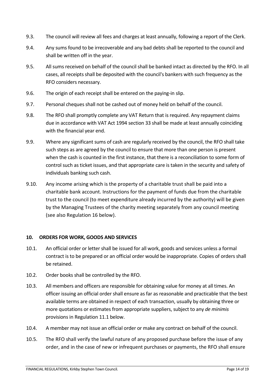- 9.3. The council will review all fees and charges at least annually, following a report of the Clerk.
- 9.4. Any sums found to be irrecoverable and any bad debts shall be reported to the council and shall be written off in the year.
- 9.5. All sums received on behalf of the council shall be banked intact as directed by the RFO. In all cases, all receipts shall be deposited with the council's bankers with such frequency as the RFO considers necessary.
- 9.6. The origin of each receipt shall be entered on the paying-in slip.
- 9.7. Personal cheques shall not be cashed out of money held on behalf of the council.
- 9.8. The RFO shall promptly complete any VAT Return that is required. Any repayment claims due in accordance with VAT Act 1994 section 33 shall be made at least annually coinciding with the financial year end.
- 9.9. Where any significant sums of cash are regularly received by the council, the RFO shall take such steps as are agreed by the council to ensure that more than one person is present when the cash is counted in the first instance, that there is a reconciliation to some form of control such as ticket issues, and that appropriate care is taken in the security and safety of individuals banking such cash.
- 9.10. Any income arising which is the property of a charitable trust shall be paid into a charitable bank account. Instructions for the payment of funds due from the charitable trust to the council (to meet expenditure already incurred by the authority) will be given by the Managing Trustees of the charity meeting separately from any council meeting (see also Regulation 16 below).

#### 10. ORDERS FOR WORK, GOODS AND SERVICES

- 10.1. An official order or letter shall be issued for all work, goods and services unless a formal contract is to be prepared or an official order would be inappropriate. Copies of orders shall be retained.
- 10.2. Order books shall be controlled by the RFO.
- 10.3. All members and officers are responsible for obtaining value for money at all times. An officer issuing an official order shall ensure as far as reasonable and practicable that the best available terms are obtained in respect of each transaction, usually by obtaining three or more quotations or estimates from appropriate suppliers, subject to any de minimis provisions in Regulation 11.1 below.
- 10.4. A member may not issue an official order or make any contract on behalf of the council.
- 10.5. The RFO shall verify the lawful nature of any proposed purchase before the issue of any order, and in the case of new or infrequent purchases or payments, the RFO shall ensure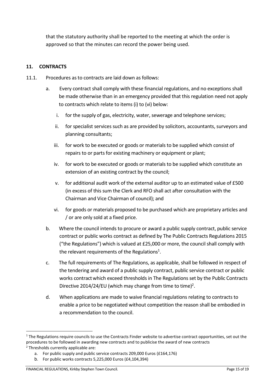that the statutory authority shall be reported to the meeting at which the order is approved so that the minutes can record the power being used.

## 11. CONTRACTS

- 11.1. Procedures as to contracts are laid down as follows:
	- a. Every contract shall comply with these financial regulations, and no exceptions shall be made otherwise than in an emergency provided that this regulation need not apply to contracts which relate to items (i) to (vi) below:
		- i. for the supply of gas, electricity, water, sewerage and telephone services;
		- ii. for specialist services such as are provided by solicitors, accountants, surveyors and planning consultants;
		- iii. for work to be executed or goods or materials to be supplied which consist of repairs to or parts for existing machinery or equipment or plant;
		- iv. for work to be executed or goods or materials to be supplied which constitute an extension of an existing contract by the council;
		- v. for additional audit work of the external auditor up to an estimated value of £500 (in excess of this sum the Clerk and RFO shall act after consultation with the Chairman and Vice Chairman of council); and
		- vi. for goods or materials proposed to be purchased which are proprietary articles and / or are only sold at a fixed price.
	- b. Where the council intends to procure or award a public supply contract, public service contract or public works contract as defined by The Public Contracts Regulations 2015 ("the Regulations") which is valued at £25,000 or more, the council shall comply with the relevant requirements of the Regulations<sup>1</sup>.
	- c. The full requirements of The Regulations, as applicable, shall be followed in respect of the tendering and award of a public supply contract, public service contract or public works contractwhich exceed thresholds in The Regulations set by the Public Contracts Directive 2014/24/EU (which may change from time to time)<sup>2</sup>.
	- d. When applications are made to waive financial regulations relating to contracts to enable a price to be negotiated without competition the reason shall be embodied in a recommendation to the council.

 $1$  The Regulations require councils to use the Contracts Finder website to advertise contract opportunities, set out the procedures to be followed in awarding new contracts and to publicise the award of new contracts 2 Thresholds currently applicable are:

a. For public supply and public service contracts 209,000 Euros (£164,176)

b. For public works contracts 5,225,000 Euros (£4,104,394)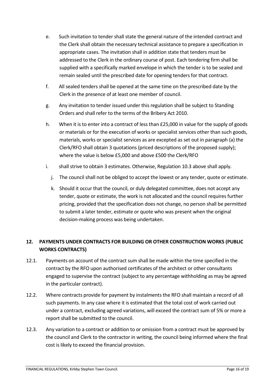- e. Such invitation to tender shall state the general nature of the intended contract and the Clerk shall obtain the necessary technical assistance to prepare a specification in appropriate cases. The invitation shall in addition state that tenders must be addressed to the Clerk in the ordinary course of post. Each tendering firm shall be supplied with a specifically marked envelope in which the tender is to be sealed and remain sealed until the prescribed date for opening tenders for that contract.
- f. All sealed tenders shall be opened at the same time on the prescribed date by the Clerk in the presence of at least one member of council.
- g. Any invitation to tender issued under this regulation shall be subject to Standing Orders and shall refer to the terms of the Bribery Act 2010.
- h. When it is to enter into a contract of less than £25,000 in value for the supply of goods or materials or for the execution of works or specialist services other than such goods, materials, works or specialist services as are excepted as set out in paragraph (a) the Clerk/RFO shall obtain 3 quotations (priced descriptions of the proposed supply); where the value is below £5,000 and above £500 the Clerk/RFO
- i. shall strive to obtain 3 estimates. Otherwise, Regulation 10.3 above shall apply.
	- j. The council shall not be obliged to accept the lowest or any tender, quote or estimate.
	- k. Should it occur that the council, or duly delegated committee, does not accept any tender, quote or estimate, the work is not allocated and the council requires further pricing, provided that the specification does not change, no person shall be permitted to submit a later tender, estimate or quote who was present when the original decision-making process was being undertaken.

## 12. PAYMENTS UNDER CONTRACTS FOR BUILDING OR OTHER CONSTRUCTION WORKS (PUBLIC WORKS CONTRACTS)

- 12.1. Payments on account of the contract sum shall be made within the time specified in the contract by the RFO upon authorised certificates of the architect or other consultants engaged to supervise the contract (subject to any percentage withholding as may be agreed in the particular contract).
- 12.2. Where contracts provide for payment by instalments the RFO shall maintain a record of all such payments. In any case where it is estimated that the total cost of work carried out under a contract, excluding agreed variations, will exceed the contract sum of 5% or more a report shall be submitted to the council.
- 12.3. Any variation to a contract or addition to or omission from a contract must be approved by the council and Clerk to the contractor in writing, the council being informed where the final cost is likely to exceed the financial provision.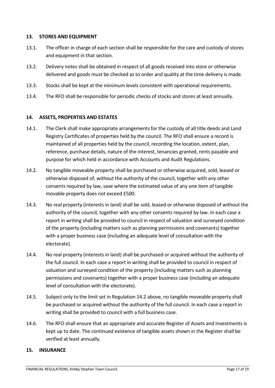#### 13. STORES AND EQUIPMENT

- 13.1. The officer in charge of each section shall be responsible for the care and custody of stores and equipment in that section.
- 13.2. Delivery notes shall be obtained in respect of all goods received into store or otherwise delivered and goods must be checked as to order and quality at the time delivery is made.
- 13.3. Stocks shall be kept at the minimum levels consistent with operational requirements.
- 13.4. The RFO shall be responsible for periodic checks of stocks and stores at least annually.

#### 14. ASSETS, PROPERTIES AND ESTATES

- 14.1. The Clerk shall make appropriate arrangements for the custody of all title deeds and Land Registry Certificates of properties held by the council. The RFO shall ensure a record is maintained of all properties held by the council, recording the location, extent, plan, reference, purchase details, nature of the interest, tenancies granted, rents payable and purpose for which held in accordance with Accounts and Audit Regulations.
- 14.2. No tangible moveable property shall be purchased or otherwise acquired, sold, leased or otherwise disposed of, without the authority of the council, together with any other consents required by law, save where the estimated value of any one item of tangible movable property does not exceed £500.
- 14.3. No real property (interests in land) shall be sold, leased or otherwise disposed of without the authority of the council, together with any other consents required by law. In each case a report in writing shall be provided to council in respect of valuation and surveyed condition of the property (including matters such as planning permissions and covenants) together with a proper business case (including an adequate level of consultation with the electorate).
- 14.4. No real property (interests in land) shall be purchased or acquired without the authority of the full council. In each case a report in writing shall be provided to council in respect of valuation and surveyed condition of the property (including matters such as planning permissions and covenants) together with a proper business case (including an adequate level of consultation with the electorate).
- 14.5. Subject only to the limit set in Regulation 14.2 above, no tangible moveable property shall be purchased or acquired without the authority of the full council. In each case a report in writing shall be provided to council with a full business case.
- 14.6. The RFO shall ensure that an appropriate and accurate Register of Assets and Investments is kept up to date. The continued existence of tangible assets shown in the Register shall be verified at least annually.

#### 15. INSURANCE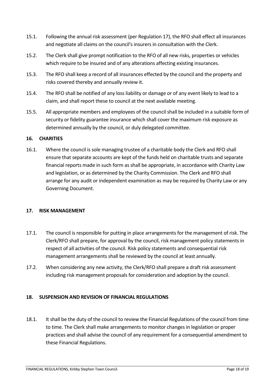- 15.1. Following the annual risk assessment (per Regulation 17), the RFO shall effect all insurances and negotiate all claims on the council's insurers in consultation with the Clerk.
- 15.2. The Clerk shall give prompt notification to the RFO of all new risks, properties or vehicles which require to be insured and of any alterations affecting existing insurances.
- 15.3. The RFO shall keep a record of all insurances effected by the council and the property and risks covered thereby and annually review it.
- 15.4. The RFO shall be notified of any loss liability or damage or of any event likely to lead to a claim, and shall report these to council at the next available meeting.
- 15.5. All appropriate members and employees of the council shall be included in a suitable form of security or fidelity guarantee insurance which shall cover the maximum risk exposure as determined annually by the council, or duly delegated committee.

#### 16. CHARITIES

16.1. Where the council is sole managing trustee of a charitable body the Clerk and RFO shall ensure that separate accounts are kept of the funds held on charitable trusts and separate financial reports made in such form as shall be appropriate, in accordance with Charity Law and legislation, or as determined by the Charity Commission. The Clerk and RFO shall arrange for any audit or independent examination as may be required by Charity Law or any Governing Document.

#### 17. RISK MANAGEMENT

- 17.1. The council is responsible for putting in place arrangements for the management of risk. The Clerk/RFO shall prepare, for approval by the council, risk management policy statements in respect of all activities of the council. Risk policy statements and consequential risk management arrangements shall be reviewed by the council at least annually.
- 17.2. When considering any new activity, the Clerk/RFO shall prepare a draft risk assessment including risk management proposals for consideration and adoption by the council.

#### 18. SUSPENSION AND REVISION OF FINANCIAL REGULATIONS

18.1. It shall be the duty of the council to review the Financial Regulations of the council from time to time. The Clerk shall make arrangements to monitor changes in legislation or proper practices and shall advise the council of any requirement for a consequential amendment to these Financial Regulations.